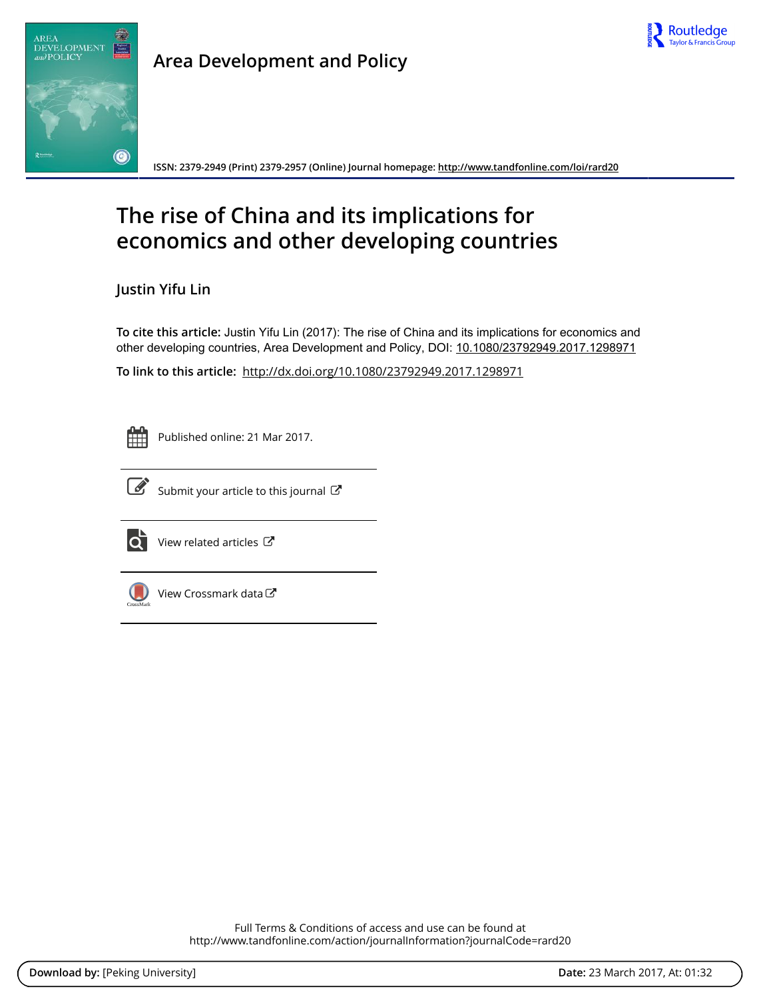



**ISSN: 2379-2949 (Print) 2379-2957 (Online) Journal homepage:<http://www.tandfonline.com/loi/rard20>**

# **The rise of China and its implications for economics and other developing countries**

**Justin Yifu Lin**

**To cite this article:** Justin Yifu Lin (2017): The rise of China and its implications for economics and other developing countries, Area Development and Policy, DOI: [10.1080/23792949.2017.1298971](http://www.tandfonline.com/action/showCitFormats?doi=10.1080/23792949.2017.1298971)

**To link to this article:** <http://dx.doi.org/10.1080/23792949.2017.1298971>



Published online: 21 Mar 2017.



 $\overrightarrow{S}$  [Submit your article to this journal](http://www.tandfonline.com/action/authorSubmission?journalCode=rard20&show=instructions)  $\overrightarrow{S}$ 



 $\overrightarrow{Q}$  [View related articles](http://www.tandfonline.com/doi/mlt/10.1080/23792949.2017.1298971)  $\overrightarrow{C}$ 



[View Crossmark data](http://crossmark.crossref.org/dialog/?doi=10.1080/23792949.2017.1298971&domain=pdf&date_stamp=2017-03-21)  $\sigma$ 

Full Terms & Conditions of access and use can be found at <http://www.tandfonline.com/action/journalInformation?journalCode=rard20>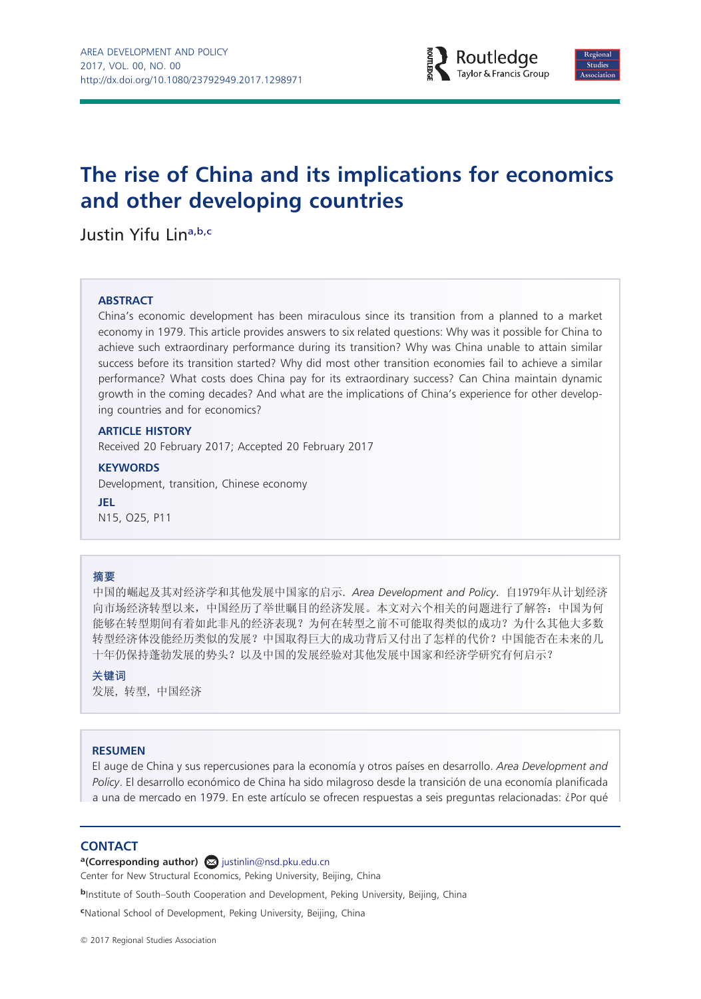



## The rise of China and its implications for economics and other developing countries

Justin Yifu Lina,b,c

#### **ABSTRACT**

China's economic development has been miraculous since its transition from a planned to a market economy in 1979. This article provides answers to six related questions: Why was it possible for China to achieve such extraordinary performance during its transition? Why was China unable to attain similar success before its transition started? Why did most other transition economies fail to achieve a similar performance? What costs does China pay for its extraordinary success? Can China maintain dynamic growth in the coming decades? And what are the implications of China's experience for other developing countries and for economics?

### ARTICLE HISTORY

Received 20 February 2017; Accepted 20 February 2017

### **KEYWORDS**

Development, transition, Chinese economy

JEL

N15, O25, P11

#### 摘要

中国的崛起及其对经济学和其他发展中国家的启示. Area Development and Policy. 自1979年从计划经济 向市场经济转型以来,中国经历了举世瞩目的经济发展。本文对六个相关的问题进行了解答:中国为何 能够在转型期间有着如此非凡的经济表现?为何在转型之前不可能取得类似的成功?为什么其他大多数 转型经济体没能经历类似的发展?中国取得巨大的成功背后又付出了怎样的代价?中国能否在未来的几 十年仍保持蓬勃发展的势头?以及中国的发展经验对其他发展中国家和经济学研究有何启示?

#### 关键词

发展, 转型, 中国经济

#### RESUMEN

El auge de China y sus repercusiones para la economía y otros países en desarrollo. Area Development and Policy. El desarrollo económico de China ha sido milagroso desde la transición de una economía planificada a una de mercado en 1979. En este artículo se ofrecen respuestas a seis preguntas relacionadas: ¿Por qué

#### **CONTACT**

#### a(Corresponding author) a justinlin@nsd.pku.edu.cn

Center for New Structural Economics, Peking University, Beijing, China

bInstitute of South–South Cooperation and Development, Peking University, Beijing, China

cNational School of Development, Peking University, Beijing, China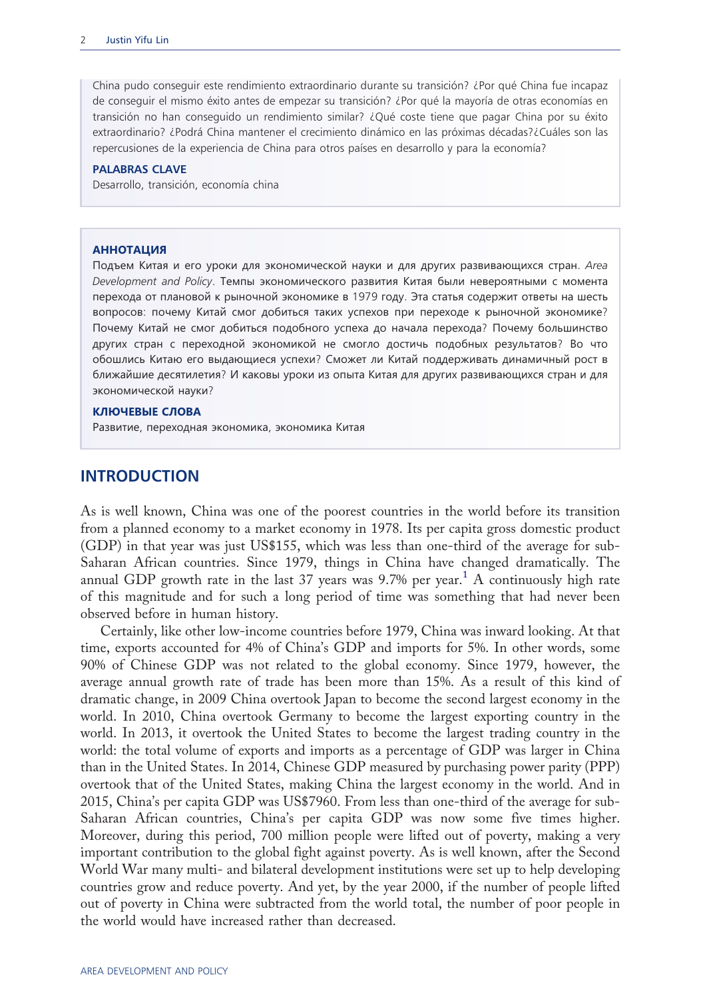China pudo conseguir este rendimiento extraordinario durante su transición? ¿Por qué China fue incapaz de conseguir el mismo éxito antes de empezar su transición? ¿Por qué la mayoría de otras economías en transición no han conseguido un rendimiento similar? ¿Qué coste tiene que pagar China por su éxito extraordinario? ¿Podrá China mantener el crecimiento dinámico en las próximas décadas?¿Cuáles son las repercusiones de la experiencia de China para otros países en desarrollo y para la economía?

#### PALABRAS CLAVE

Desarrollo, transición, economía china

#### АННОТАЦИЯ

Подъем Китая и его уроки для экономической науки и для других развивающихся стран. Area Development and Policy. Темпы экономического развития Китая были невероятными с момента перехода от плановой к рыночной экономике в 1979 году. Эта статья содержит ответы на шесть вопросов: почему Китай смог добиться таких успехов при переходе к рыночной экономике? Почему Китай не смог добиться подобного успеха до начала перехода? Почему большинство других стран с переходной экономикой не смогло достичь подобных результатов? Во что обошлись Китаю его выдающиеся успехи? Сможет ли Китай поддерживать динамичный рост в ближайшие десятилетия? И каковы уроки из опыта Китая для других развивающихся стран и для экономической науки?

#### КЛЮЧЕВЫЕ СЛОВА

Развитие, переходная экономика, экономика Китая

## INTRODUCTION

As is well known, China was one of the poorest countries in the world before its transition from a planned economy to a market economy in 1978. Its per capita gross domestic product (GDP) in that year was just US\$155, which was less than one-third of the average for sub-Saharan African countries. Since 1979, things in China have changed dramatically. The annual GDP growth rate in the last 37 years was 9.7% per year.<sup>[1](#page-10-0)</sup> A continuously high rate of this magnitude and for such a long period of time was something that had never been observed before in human history.

Certainly, like other low-income countries before 1979, China was inward looking. At that time, exports accounted for 4% of China's GDP and imports for 5%. In other words, some 90% of Chinese GDP was not related to the global economy. Since 1979, however, the average annual growth rate of trade has been more than 15%. As a result of this kind of dramatic change, in 2009 China overtook Japan to become the second largest economy in the world. In 2010, China overtook Germany to become the largest exporting country in the world. In 2013, it overtook the United States to become the largest trading country in the world: the total volume of exports and imports as a percentage of GDP was larger in China than in the United States. In 2014, Chinese GDP measured by purchasing power parity (PPP) overtook that of the United States, making China the largest economy in the world. And in 2015, China's per capita GDP was US\$7960. From less than one-third of the average for sub-Saharan African countries, China's per capita GDP was now some five times higher. Moreover, during this period, 700 million people were lifted out of poverty, making a very important contribution to the global fight against poverty. As is well known, after the Second World War many multi- and bilateral development institutions were set up to help developing countries grow and reduce poverty. And yet, by the year 2000, if the number of people lifted out of poverty in China were subtracted from the world total, the number of poor people in the world would have increased rather than decreased.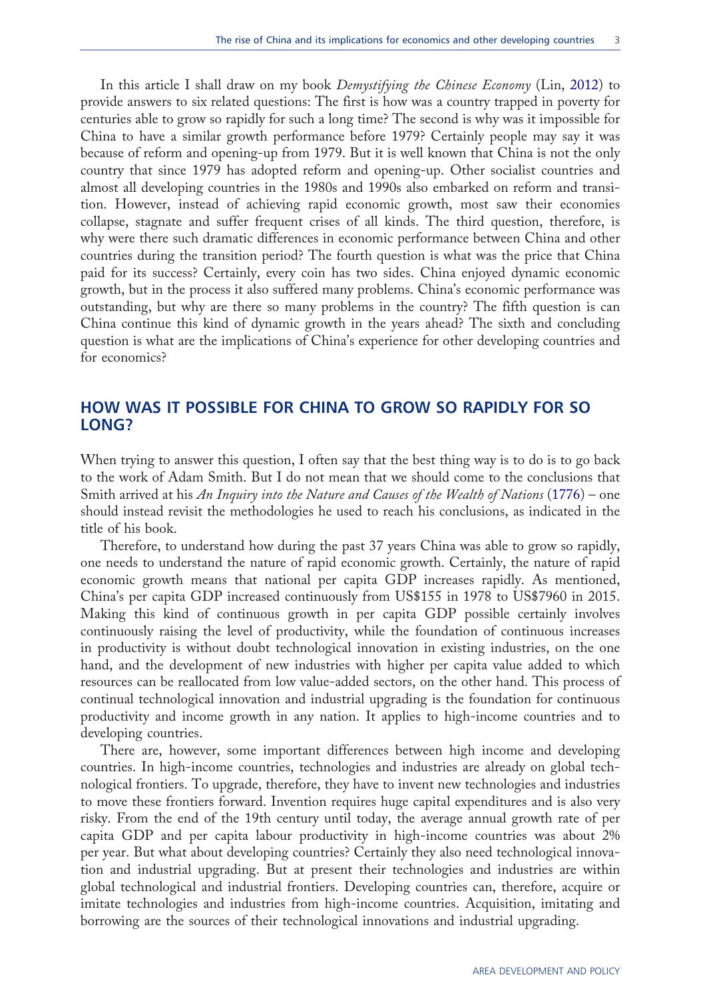<span id="page-3-0"></span>In this article I shall draw on my book *Demystifying the Chinese Economy* (Lin, [2012](#page-10-1)) to provide answers to six related questions: The first is how was a country trapped in poverty for centuries able to grow so rapidly for such a long time? The second is why was it impossible for China to have a similar growth performance before 1979? Certainly people may say it was because of reform and opening-up from 1979. But it is well known that China is not the only country that since 1979 has adopted reform and opening-up. Other socialist countries and almost all developing countries in the 1980s and 1990s also embarked on reform and transition. However, instead of achieving rapid economic growth, most saw their economies collapse, stagnate and suffer frequent crises of all kinds. The third question, therefore, is why were there such dramatic differences in economic performance between China and other countries during the transition period? The fourth question is what was the price that China paid for its success? Certainly, every coin has two sides. China enjoyed dynamic economic growth, but in the process it also suffered many problems. China's economic performance was outstanding, but why are there so many problems in the country? The fifth question is can China continue this kind of dynamic growth in the years ahead? The sixth and concluding question is what are the implications of China's experience for other developing countries and for economics?

## HOW WAS IT POSSIBLE FOR CHINA TO GROW SO RAPIDLY FOR SO LONG?

<span id="page-3-1"></span>When trying to answer this question, I often say that the best thing way is to do is to go back to the work of Adam Smith. But I do not mean that we should come to the conclusions that Smith arrived at his An Inquiry into the Nature and Causes of the Wealth of Nations [\(1776](#page-11-0)) – one should instead revisit the methodologies he used to reach his conclusions, as indicated in the title of his book.

Therefore, to understand how during the past 37 years China was able to grow so rapidly, one needs to understand the nature of rapid economic growth. Certainly, the nature of rapid economic growth means that national per capita GDP increases rapidly. As mentioned, China's per capita GDP increased continuously from US\$155 in 1978 to US\$7960 in 2015. Making this kind of continuous growth in per capita GDP possible certainly involves continuously raising the level of productivity, while the foundation of continuous increases in productivity is without doubt technological innovation in existing industries, on the one hand, and the development of new industries with higher per capita value added to which resources can be reallocated from low value-added sectors, on the other hand. This process of continual technological innovation and industrial upgrading is the foundation for continuous productivity and income growth in any nation. It applies to high-income countries and to developing countries.

There are, however, some important differences between high income and developing countries. In high-income countries, technologies and industries are already on global technological frontiers. To upgrade, therefore, they have to invent new technologies and industries to move these frontiers forward. Invention requires huge capital expenditures and is also very risky. From the end of the 19th century until today, the average annual growth rate of per capita GDP and per capita labour productivity in high-income countries was about 2% per year. But what about developing countries? Certainly they also need technological innovation and industrial upgrading. But at present their technologies and industries are within global technological and industrial frontiers. Developing countries can, therefore, acquire or imitate technologies and industries from high-income countries. Acquisition, imitating and borrowing are the sources of their technological innovations and industrial upgrading.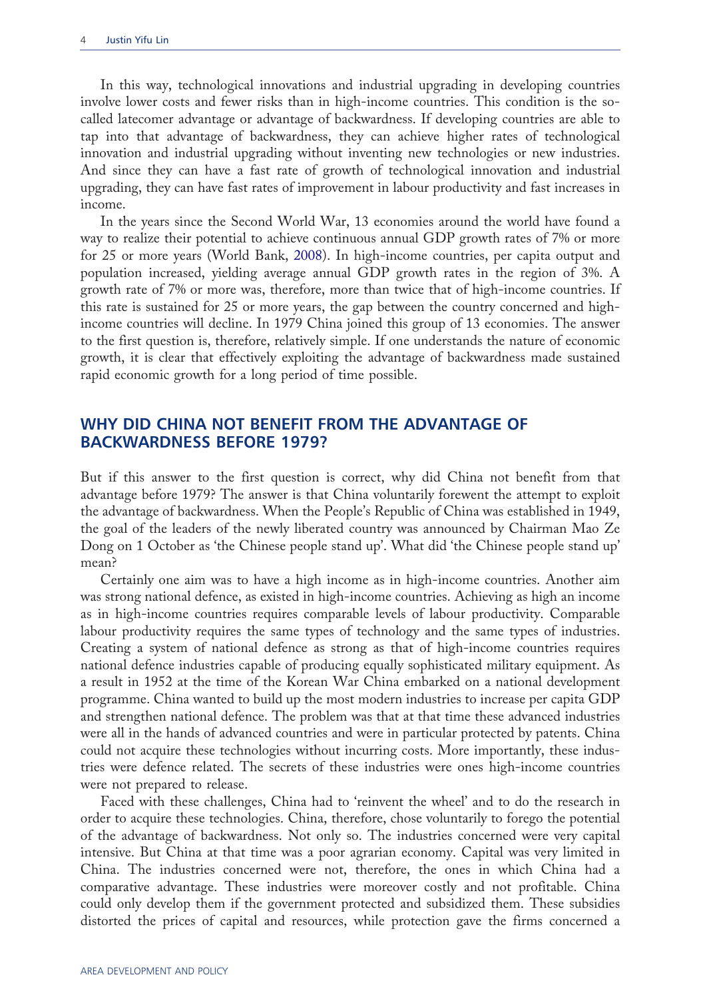In this way, technological innovations and industrial upgrading in developing countries involve lower costs and fewer risks than in high-income countries. This condition is the socalled latecomer advantage or advantage of backwardness. If developing countries are able to tap into that advantage of backwardness, they can achieve higher rates of technological innovation and industrial upgrading without inventing new technologies or new industries. And since they can have a fast rate of growth of technological innovation and industrial upgrading, they can have fast rates of improvement in labour productivity and fast increases in income.

<span id="page-4-0"></span>In the years since the Second World War, 13 economies around the world have found a way to realize their potential to achieve continuous annual GDP growth rates of 7% or more for 25 or more years (World Bank, [2008\)](#page-11-1). In high-income countries, per capita output and population increased, yielding average annual GDP growth rates in the region of 3%. A growth rate of 7% or more was, therefore, more than twice that of high-income countries. If this rate is sustained for 25 or more years, the gap between the country concerned and highincome countries will decline. In 1979 China joined this group of 13 economies. The answer to the first question is, therefore, relatively simple. If one understands the nature of economic growth, it is clear that effectively exploiting the advantage of backwardness made sustained rapid economic growth for a long period of time possible.

## WHY DID CHINA NOT BENEFIT FROM THE ADVANTAGE OF BACKWARDNESS BEFORE 1979?

But if this answer to the first question is correct, why did China not benefit from that advantage before 1979? The answer is that China voluntarily forewent the attempt to exploit the advantage of backwardness. When the People's Republic of China was established in 1949, the goal of the leaders of the newly liberated country was announced by Chairman Mao Ze Dong on 1 October as 'the Chinese people stand up'. What did 'the Chinese people stand up' mean?

Certainly one aim was to have a high income as in high-income countries. Another aim was strong national defence, as existed in high-income countries. Achieving as high an income as in high-income countries requires comparable levels of labour productivity. Comparable labour productivity requires the same types of technology and the same types of industries. Creating a system of national defence as strong as that of high-income countries requires national defence industries capable of producing equally sophisticated military equipment. As a result in 1952 at the time of the Korean War China embarked on a national development programme. China wanted to build up the most modern industries to increase per capita GDP and strengthen national defence. The problem was that at that time these advanced industries were all in the hands of advanced countries and were in particular protected by patents. China could not acquire these technologies without incurring costs. More importantly, these industries were defence related. The secrets of these industries were ones high-income countries were not prepared to release.

Faced with these challenges, China had to 'reinvent the wheel' and to do the research in order to acquire these technologies. China, therefore, chose voluntarily to forego the potential of the advantage of backwardness. Not only so. The industries concerned were very capital intensive. But China at that time was a poor agrarian economy. Capital was very limited in China. The industries concerned were not, therefore, the ones in which China had a comparative advantage. These industries were moreover costly and not profitable. China could only develop them if the government protected and subsidized them. These subsidies distorted the prices of capital and resources, while protection gave the firms concerned a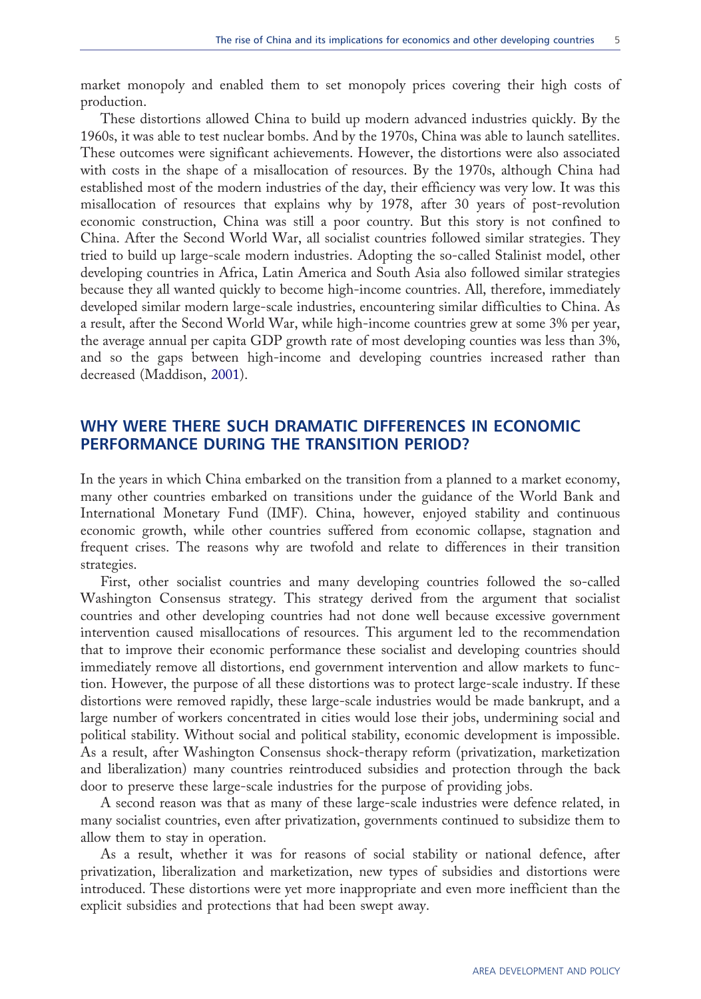market monopoly and enabled them to set monopoly prices covering their high costs of production.

These distortions allowed China to build up modern advanced industries quickly. By the 1960s, it was able to test nuclear bombs. And by the 1970s, China was able to launch satellites. These outcomes were significant achievements. However, the distortions were also associated with costs in the shape of a misallocation of resources. By the 1970s, although China had established most of the modern industries of the day, their efficiency was very low. It was this misallocation of resources that explains why by 1978, after 30 years of post-revolution economic construction, China was still a poor country. But this story is not confined to China. After the Second World War, all socialist countries followed similar strategies. They tried to build up large-scale modern industries. Adopting the so-called Stalinist model, other developing countries in Africa, Latin America and South Asia also followed similar strategies because they all wanted quickly to become high-income countries. All, therefore, immediately developed similar modern large-scale industries, encountering similar difficulties to China. As a result, after the Second World War, while high-income countries grew at some 3% per year, the average annual per capita GDP growth rate of most developing counties was less than 3%, and so the gaps between high-income and developing countries increased rather than decreased (Maddison, [2001\)](#page-10-2).

## <span id="page-5-0"></span>WHY WERE THERE SUCH DRAMATIC DIFFERENCES IN ECONOMIC PERFORMANCE DURING THE TRANSITION PERIOD?

In the years in which China embarked on the transition from a planned to a market economy, many other countries embarked on transitions under the guidance of the World Bank and International Monetary Fund (IMF). China, however, enjoyed stability and continuous economic growth, while other countries suffered from economic collapse, stagnation and frequent crises. The reasons why are twofold and relate to differences in their transition strategies.

First, other socialist countries and many developing countries followed the so-called Washington Consensus strategy. This strategy derived from the argument that socialist countries and other developing countries had not done well because excessive government intervention caused misallocations of resources. This argument led to the recommendation that to improve their economic performance these socialist and developing countries should immediately remove all distortions, end government intervention and allow markets to function. However, the purpose of all these distortions was to protect large-scale industry. If these distortions were removed rapidly, these large-scale industries would be made bankrupt, and a large number of workers concentrated in cities would lose their jobs, undermining social and political stability. Without social and political stability, economic development is impossible. As a result, after Washington Consensus shock-therapy reform (privatization, marketization and liberalization) many countries reintroduced subsidies and protection through the back door to preserve these large-scale industries for the purpose of providing jobs.

A second reason was that as many of these large-scale industries were defence related, in many socialist countries, even after privatization, governments continued to subsidize them to allow them to stay in operation.

As a result, whether it was for reasons of social stability or national defence, after privatization, liberalization and marketization, new types of subsidies and distortions were introduced. These distortions were yet more inappropriate and even more inefficient than the explicit subsidies and protections that had been swept away.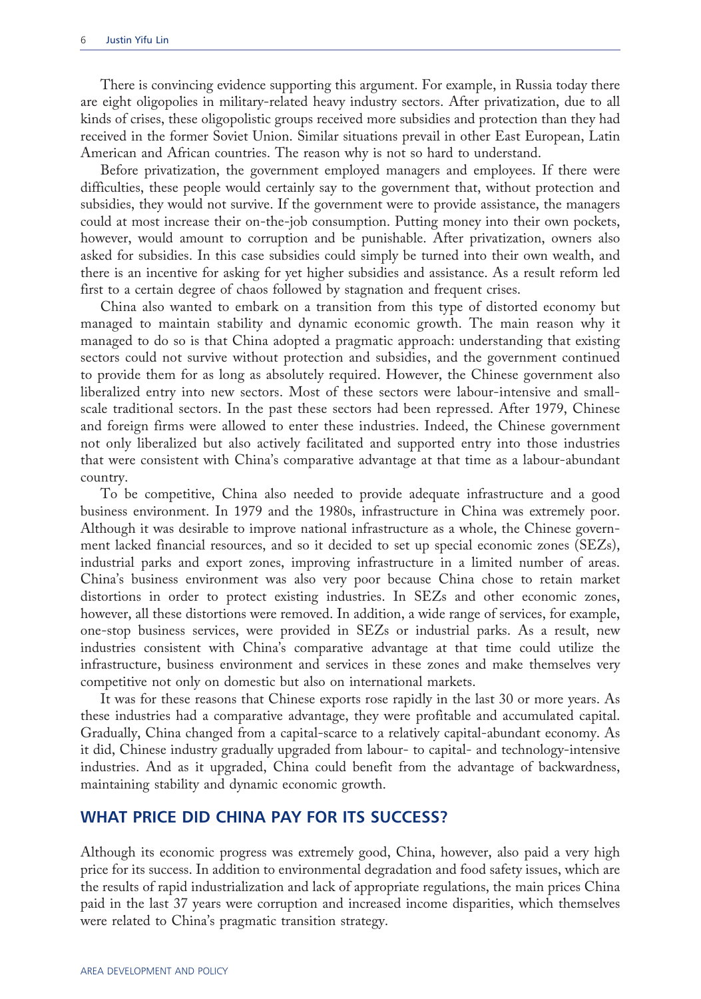There is convincing evidence supporting this argument. For example, in Russia today there are eight oligopolies in military-related heavy industry sectors. After privatization, due to all kinds of crises, these oligopolistic groups received more subsidies and protection than they had received in the former Soviet Union. Similar situations prevail in other East European, Latin American and African countries. The reason why is not so hard to understand.

Before privatization, the government employed managers and employees. If there were difficulties, these people would certainly say to the government that, without protection and subsidies, they would not survive. If the government were to provide assistance, the managers could at most increase their on-the-job consumption. Putting money into their own pockets, however, would amount to corruption and be punishable. After privatization, owners also asked for subsidies. In this case subsidies could simply be turned into their own wealth, and there is an incentive for asking for yet higher subsidies and assistance. As a result reform led first to a certain degree of chaos followed by stagnation and frequent crises.

China also wanted to embark on a transition from this type of distorted economy but managed to maintain stability and dynamic economic growth. The main reason why it managed to do so is that China adopted a pragmatic approach: understanding that existing sectors could not survive without protection and subsidies, and the government continued to provide them for as long as absolutely required. However, the Chinese government also liberalized entry into new sectors. Most of these sectors were labour-intensive and smallscale traditional sectors. In the past these sectors had been repressed. After 1979, Chinese and foreign firms were allowed to enter these industries. Indeed, the Chinese government not only liberalized but also actively facilitated and supported entry into those industries that were consistent with China's comparative advantage at that time as a labour-abundant country.

To be competitive, China also needed to provide adequate infrastructure and a good business environment. In 1979 and the 1980s, infrastructure in China was extremely poor. Although it was desirable to improve national infrastructure as a whole, the Chinese government lacked financial resources, and so it decided to set up special economic zones (SEZs), industrial parks and export zones, improving infrastructure in a limited number of areas. China's business environment was also very poor because China chose to retain market distortions in order to protect existing industries. In SEZs and other economic zones, however, all these distortions were removed. In addition, a wide range of services, for example, one-stop business services, were provided in SEZs or industrial parks. As a result, new industries consistent with China's comparative advantage at that time could utilize the infrastructure, business environment and services in these zones and make themselves very competitive not only on domestic but also on international markets.

It was for these reasons that Chinese exports rose rapidly in the last 30 or more years. As these industries had a comparative advantage, they were profitable and accumulated capital. Gradually, China changed from a capital-scarce to a relatively capital-abundant economy. As it did, Chinese industry gradually upgraded from labour- to capital- and technology-intensive industries. And as it upgraded, China could benefit from the advantage of backwardness, maintaining stability and dynamic economic growth.

## WHAT PRICE DID CHINA PAY FOR ITS SUCCESS?

Although its economic progress was extremely good, China, however, also paid a very high price for its success. In addition to environmental degradation and food safety issues, which are the results of rapid industrialization and lack of appropriate regulations, the main prices China paid in the last 37 years were corruption and increased income disparities, which themselves were related to China's pragmatic transition strategy.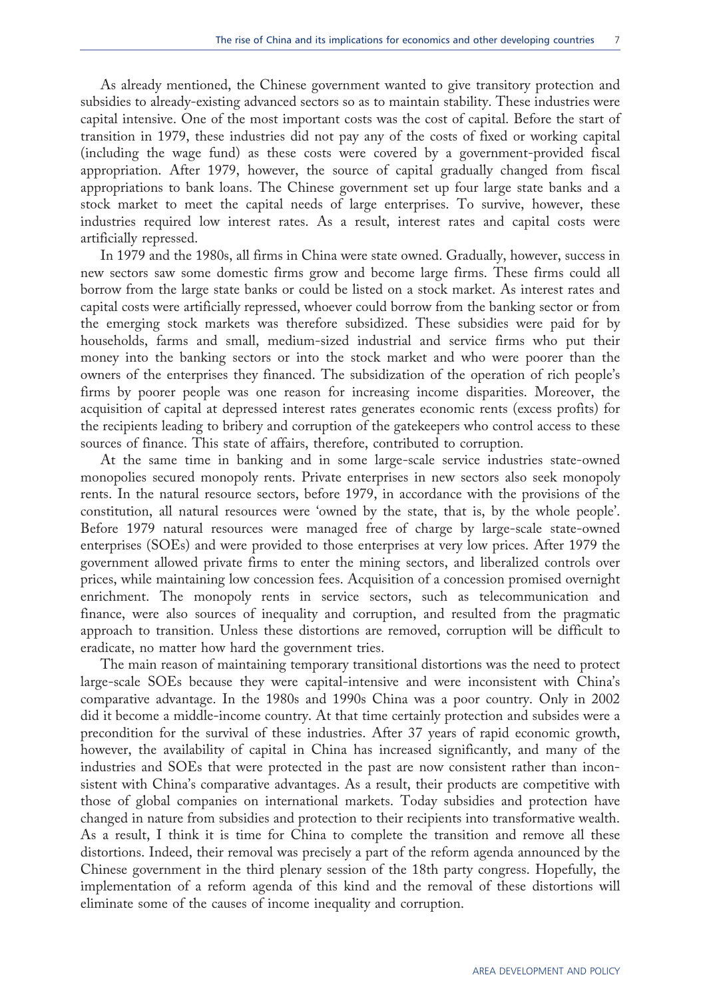As already mentioned, the Chinese government wanted to give transitory protection and subsidies to already-existing advanced sectors so as to maintain stability. These industries were capital intensive. One of the most important costs was the cost of capital. Before the start of transition in 1979, these industries did not pay any of the costs of fixed or working capital (including the wage fund) as these costs were covered by a government-provided fiscal appropriation. After 1979, however, the source of capital gradually changed from fiscal appropriations to bank loans. The Chinese government set up four large state banks and a stock market to meet the capital needs of large enterprises. To survive, however, these industries required low interest rates. As a result, interest rates and capital costs were artificially repressed.

In 1979 and the 1980s, all firms in China were state owned. Gradually, however, success in new sectors saw some domestic firms grow and become large firms. These firms could all borrow from the large state banks or could be listed on a stock market. As interest rates and capital costs were artificially repressed, whoever could borrow from the banking sector or from the emerging stock markets was therefore subsidized. These subsidies were paid for by households, farms and small, medium-sized industrial and service firms who put their money into the banking sectors or into the stock market and who were poorer than the owners of the enterprises they financed. The subsidization of the operation of rich people's firms by poorer people was one reason for increasing income disparities. Moreover, the acquisition of capital at depressed interest rates generates economic rents (excess profits) for the recipients leading to bribery and corruption of the gatekeepers who control access to these sources of finance. This state of affairs, therefore, contributed to corruption.

At the same time in banking and in some large-scale service industries state-owned monopolies secured monopoly rents. Private enterprises in new sectors also seek monopoly rents. In the natural resource sectors, before 1979, in accordance with the provisions of the constitution, all natural resources were 'owned by the state, that is, by the whole people'. Before 1979 natural resources were managed free of charge by large-scale state-owned enterprises (SOEs) and were provided to those enterprises at very low prices. After 1979 the government allowed private firms to enter the mining sectors, and liberalized controls over prices, while maintaining low concession fees. Acquisition of a concession promised overnight enrichment. The monopoly rents in service sectors, such as telecommunication and finance, were also sources of inequality and corruption, and resulted from the pragmatic approach to transition. Unless these distortions are removed, corruption will be difficult to eradicate, no matter how hard the government tries.

The main reason of maintaining temporary transitional distortions was the need to protect large-scale SOEs because they were capital-intensive and were inconsistent with China's comparative advantage. In the 1980s and 1990s China was a poor country. Only in 2002 did it become a middle-income country. At that time certainly protection and subsides were a precondition for the survival of these industries. After 37 years of rapid economic growth, however, the availability of capital in China has increased significantly, and many of the industries and SOEs that were protected in the past are now consistent rather than inconsistent with China's comparative advantages. As a result, their products are competitive with those of global companies on international markets. Today subsidies and protection have changed in nature from subsidies and protection to their recipients into transformative wealth. As a result, I think it is time for China to complete the transition and remove all these distortions. Indeed, their removal was precisely a part of the reform agenda announced by the Chinese government in the third plenary session of the 18th party congress. Hopefully, the implementation of a reform agenda of this kind and the removal of these distortions will eliminate some of the causes of income inequality and corruption.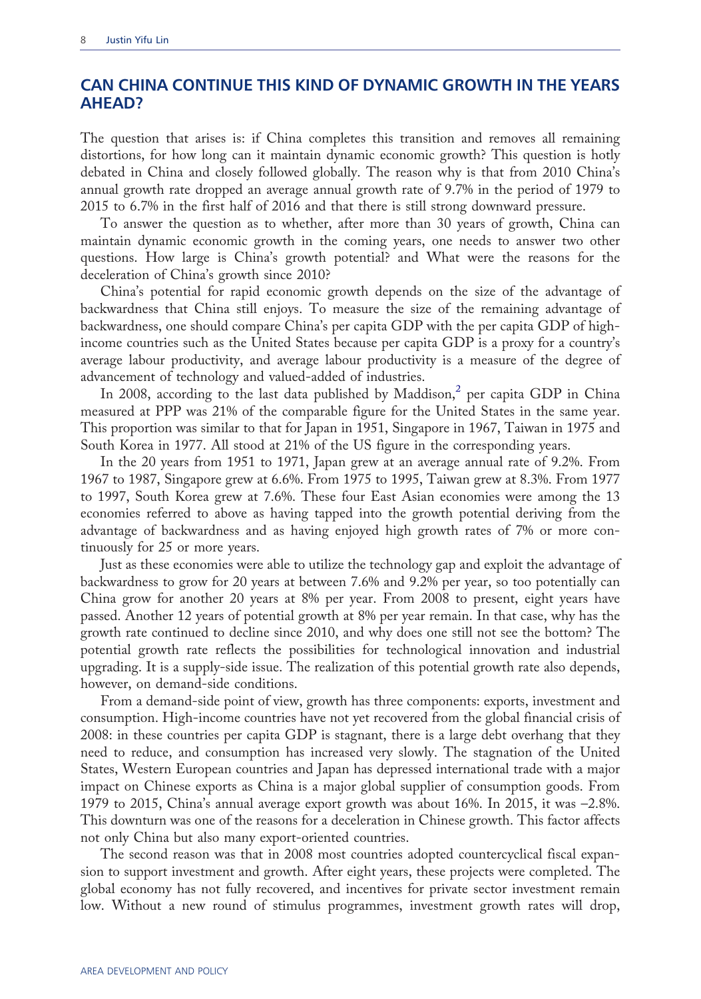## CAN CHINA CONTINUE THIS KIND OF DYNAMIC GROWTH IN THE YEARS AHEAD?

The question that arises is: if China completes this transition and removes all remaining distortions, for how long can it maintain dynamic economic growth? This question is hotly debated in China and closely followed globally. The reason why is that from 2010 China's annual growth rate dropped an average annual growth rate of 9.7% in the period of 1979 to 2015 to 6.7% in the first half of 2016 and that there is still strong downward pressure.

To answer the question as to whether, after more than 30 years of growth, China can maintain dynamic economic growth in the coming years, one needs to answer two other questions. How large is China's growth potential? and What were the reasons for the deceleration of China's growth since 2010?

China's potential for rapid economic growth depends on the size of the advantage of backwardness that China still enjoys. To measure the size of the remaining advantage of backwardness, one should compare China's per capita GDP with the per capita GDP of highincome countries such as the United States because per capita GDP is a proxy for a country's average labour productivity, and average labour productivity is a measure of the degree of advancement of technology and valued-added of industries.

In [2](#page-10-3)008, according to the last data published by Maddison, $<sup>2</sup>$  per capita GDP in China</sup> measured at PPP was 21% of the comparable figure for the United States in the same year. This proportion was similar to that for Japan in 1951, Singapore in 1967, Taiwan in 1975 and South Korea in 1977. All stood at 21% of the US figure in the corresponding years.

In the 20 years from 1951 to 1971, Japan grew at an average annual rate of 9.2%. From 1967 to 1987, Singapore grew at 6.6%. From 1975 to 1995, Taiwan grew at 8.3%. From 1977 to 1997, South Korea grew at 7.6%. These four East Asian economies were among the 13 economies referred to above as having tapped into the growth potential deriving from the advantage of backwardness and as having enjoyed high growth rates of 7% or more continuously for 25 or more years.

Just as these economies were able to utilize the technology gap and exploit the advantage of backwardness to grow for 20 years at between 7.6% and 9.2% per year, so too potentially can China grow for another 20 years at 8% per year. From 2008 to present, eight years have passed. Another 12 years of potential growth at 8% per year remain. In that case, why has the growth rate continued to decline since 2010, and why does one still not see the bottom? The potential growth rate reflects the possibilities for technological innovation and industrial upgrading. It is a supply-side issue. The realization of this potential growth rate also depends, however, on demand-side conditions.

From a demand-side point of view, growth has three components: exports, investment and consumption. High-income countries have not yet recovered from the global financial crisis of 2008: in these countries per capita GDP is stagnant, there is a large debt overhang that they need to reduce, and consumption has increased very slowly. The stagnation of the United States, Western European countries and Japan has depressed international trade with a major impact on Chinese exports as China is a major global supplier of consumption goods. From 1979 to 2015, China's annual average export growth was about 16%. In 2015, it was –2.8%. This downturn was one of the reasons for a deceleration in Chinese growth. This factor affects not only China but also many export-oriented countries.

The second reason was that in 2008 most countries adopted countercyclical fiscal expansion to support investment and growth. After eight years, these projects were completed. The global economy has not fully recovered, and incentives for private sector investment remain low. Without a new round of stimulus programmes, investment growth rates will drop,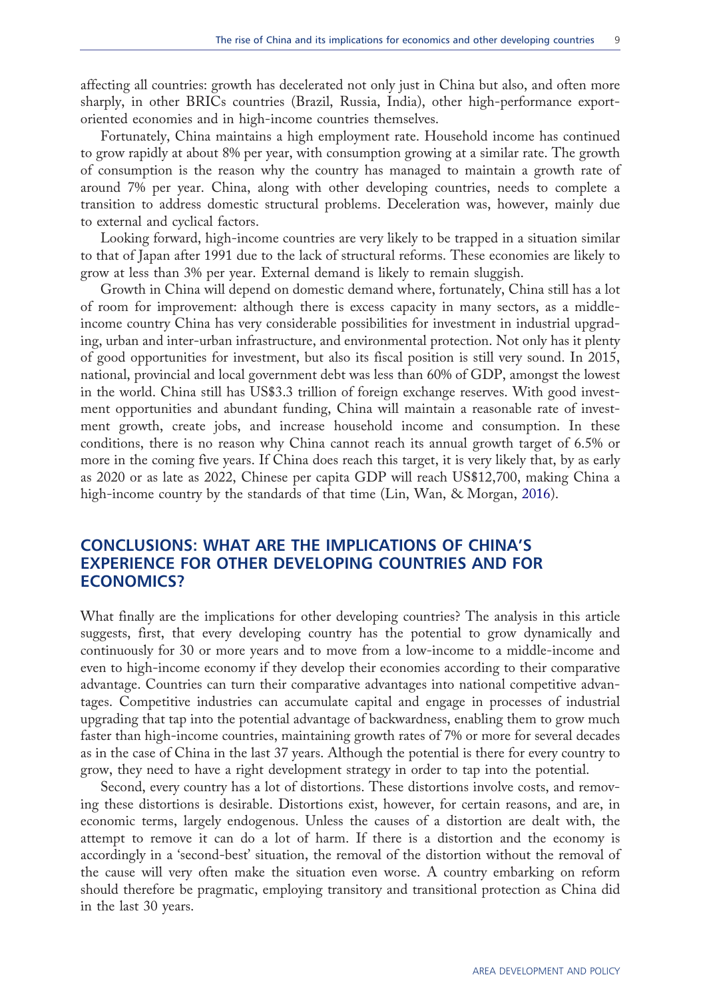affecting all countries: growth has decelerated not only just in China but also, and often more sharply, in other BRICs countries (Brazil, Russia, India), other high-performance exportoriented economies and in high-income countries themselves.

Fortunately, China maintains a high employment rate. Household income has continued to grow rapidly at about 8% per year, with consumption growing at a similar rate. The growth of consumption is the reason why the country has managed to maintain a growth rate of around 7% per year. China, along with other developing countries, needs to complete a transition to address domestic structural problems. Deceleration was, however, mainly due to external and cyclical factors.

Looking forward, high-income countries are very likely to be trapped in a situation similar to that of Japan after 1991 due to the lack of structural reforms. These economies are likely to grow at less than 3% per year. External demand is likely to remain sluggish.

Growth in China will depend on domestic demand where, fortunately, China still has a lot of room for improvement: although there is excess capacity in many sectors, as a middleincome country China has very considerable possibilities for investment in industrial upgrading, urban and inter-urban infrastructure, and environmental protection. Not only has it plenty of good opportunities for investment, but also its fiscal position is still very sound. In 2015, national, provincial and local government debt was less than 60% of GDP, amongst the lowest in the world. China still has US\$3.3 trillion of foreign exchange reserves. With good investment opportunities and abundant funding, China will maintain a reasonable rate of investment growth, create jobs, and increase household income and consumption. In these conditions, there is no reason why China cannot reach its annual growth target of 6.5% or more in the coming five years. If China does reach this target, it is very likely that, by as early as 2020 or as late as 2022, Chinese per capita GDP will reach US\$12,700, making China a high-income country by the standards of that time (Lin, Wan, & Morgan, [2016](#page-10-4)).

## <span id="page-9-0"></span>CONCLUSIONS: WHAT ARE THE IMPLICATIONS OF CHINA'S EXPERIENCE FOR OTHER DEVELOPING COUNTRIES AND FOR ECONOMICS?

What finally are the implications for other developing countries? The analysis in this article suggests, first, that every developing country has the potential to grow dynamically and continuously for 30 or more years and to move from a low-income to a middle-income and even to high-income economy if they develop their economies according to their comparative advantage. Countries can turn their comparative advantages into national competitive advantages. Competitive industries can accumulate capital and engage in processes of industrial upgrading that tap into the potential advantage of backwardness, enabling them to grow much faster than high-income countries, maintaining growth rates of 7% or more for several decades as in the case of China in the last 37 years. Although the potential is there for every country to grow, they need to have a right development strategy in order to tap into the potential.

Second, every country has a lot of distortions. These distortions involve costs, and removing these distortions is desirable. Distortions exist, however, for certain reasons, and are, in economic terms, largely endogenous. Unless the causes of a distortion are dealt with, the attempt to remove it can do a lot of harm. If there is a distortion and the economy is accordingly in a 'second-best' situation, the removal of the distortion without the removal of the cause will very often make the situation even worse. A country embarking on reform should therefore be pragmatic, employing transitory and transitional protection as China did in the last 30 years.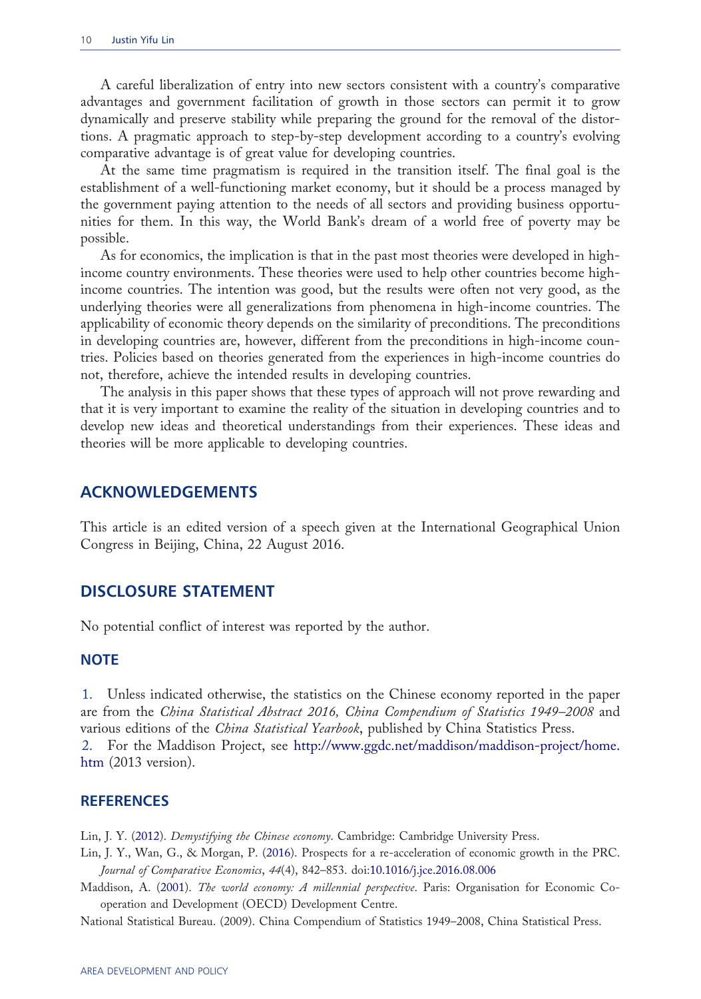A careful liberalization of entry into new sectors consistent with a country's comparative advantages and government facilitation of growth in those sectors can permit it to grow dynamically and preserve stability while preparing the ground for the removal of the distortions. A pragmatic approach to step-by-step development according to a country's evolving comparative advantage is of great value for developing countries.

At the same time pragmatism is required in the transition itself. The final goal is the establishment of a well-functioning market economy, but it should be a process managed by the government paying attention to the needs of all sectors and providing business opportunities for them. In this way, the World Bank's dream of a world free of poverty may be possible.

As for economics, the implication is that in the past most theories were developed in highincome country environments. These theories were used to help other countries become highincome countries. The intention was good, but the results were often not very good, as the underlying theories were all generalizations from phenomena in high-income countries. The applicability of economic theory depends on the similarity of preconditions. The preconditions in developing countries are, however, different from the preconditions in high-income countries. Policies based on theories generated from the experiences in high-income countries do not, therefore, achieve the intended results in developing countries.

The analysis in this paper shows that these types of approach will not prove rewarding and that it is very important to examine the reality of the situation in developing countries and to develop new ideas and theoretical understandings from their experiences. These ideas and theories will be more applicable to developing countries.

## ACKNOWLEDGEMENTS

This article is an edited version of a speech given at the International Geographical Union Congress in Beijing, China, 22 August 2016.

## DISCLOSURE STATEMENT

No potential conflict of interest was reported by the author.

## **NOTE**

<span id="page-10-3"></span><span id="page-10-0"></span>1. Unless indicated otherwise, the statistics on the Chinese economy reported in the paper are from the China Statistical Abstract 2016, China Compendium of Statistics 1949–2008 and various editions of the *China Statistical Yearbook*, published by China Statistics Press. 2. For the Maddison Project, see [http://www.ggdc.net/maddison/maddison-project/home.](http://www.ggdc.net/maddison/maddison-project/home.htm) [htm](http://www.ggdc.net/maddison/maddison-project/home.htm) (2013 version).

## **REFERENCES**

<span id="page-10-1"></span>Lin, J. Y. [\(2012](#page-3-0)). Demystifying the Chinese economy. Cambridge: Cambridge University Press.

- <span id="page-10-4"></span>Lin, J. Y., Wan, G., & Morgan, P. [\(2016](#page-9-0)). Prospects for a re-acceleration of economic growth in the PRC. Journal of Comparative Economics, 44(4), 842–853. doi:[10.1016/j.jce.2016.08.006](http://dx.doi.org/10.1016/j.jce.2016.08.006)
- <span id="page-10-2"></span>Maddison, A. [\(2001](#page-5-0)). The world economy: A millennial perspective. Paris: Organisation for Economic Cooperation and Development (OECD) Development Centre.

National Statistical Bureau. (2009). China Compendium of Statistics 1949–2008, China Statistical Press.